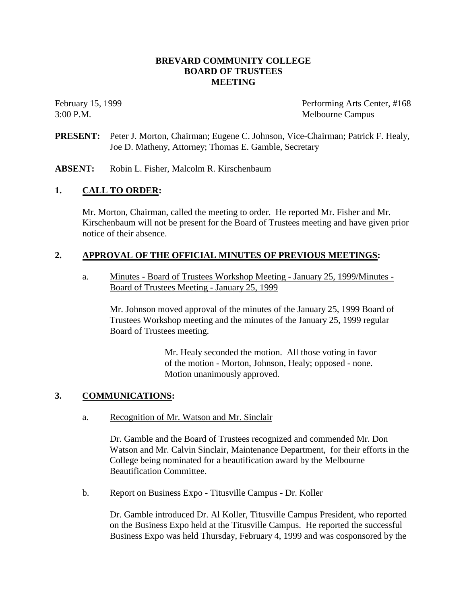## **BREVARD COMMUNITY COLLEGE BOARD OF TRUSTEES MEETING**

February 15, 1999 Performing Arts Center, #168 3:00 P.M. Melbourne Campus

**PRESENT:** Peter J. Morton, Chairman; Eugene C. Johnson, Vice-Chairman; Patrick F. Healy, Joe D. Matheny, Attorney; Thomas E. Gamble, Secretary

**ABSENT:** Robin L. Fisher, Malcolm R. Kirschenbaum

## **1. CALL TO ORDER:**

Mr. Morton, Chairman, called the meeting to order. He reported Mr. Fisher and Mr. Kirschenbaum will not be present for the Board of Trustees meeting and have given prior notice of their absence.

## **2. APPROVAL OF THE OFFICIAL MINUTES OF PREVIOUS MEETINGS:**

a. Minutes - Board of Trustees Workshop Meeting - January 25, 1999/Minutes - Board of Trustees Meeting - January 25, 1999

Mr. Johnson moved approval of the minutes of the January 25, 1999 Board of Trustees Workshop meeting and the minutes of the January 25, 1999 regular Board of Trustees meeting.

> Mr. Healy seconded the motion. All those voting in favor of the motion - Morton, Johnson, Healy; opposed - none. Motion unanimously approved.

## **3. COMMUNICATIONS:**

a. Recognition of Mr. Watson and Mr. Sinclair

Dr. Gamble and the Board of Trustees recognized and commended Mr. Don Watson and Mr. Calvin Sinclair, Maintenance Department, for their efforts in the College being nominated for a beautification award by the Melbourne Beautification Committee.

b. Report on Business Expo - Titusville Campus - Dr. Koller

Dr. Gamble introduced Dr. Al Koller, Titusville Campus President, who reported on the Business Expo held at the Titusville Campus. He reported the successful Business Expo was held Thursday, February 4, 1999 and was cosponsored by the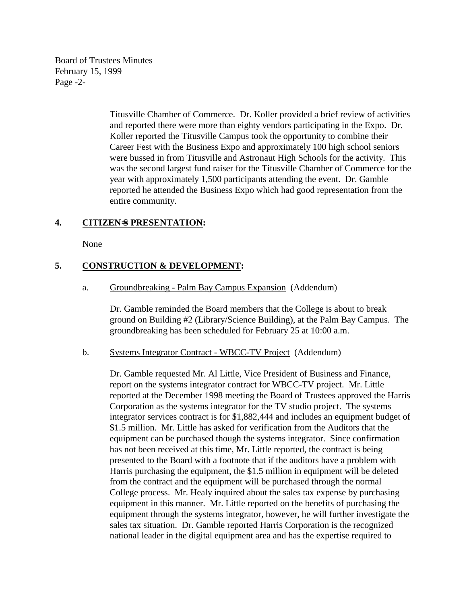Board of Trustees Minutes February 15, 1999 Page -2-

> Titusville Chamber of Commerce. Dr. Koller provided a brief review of activities and reported there were more than eighty vendors participating in the Expo. Dr. Koller reported the Titusville Campus took the opportunity to combine their Career Fest with the Business Expo and approximately 100 high school seniors were bussed in from Titusville and Astronaut High Schools for the activity. This was the second largest fund raiser for the Titusville Chamber of Commerce for the year with approximately 1,500 participants attending the event. Dr. Gamble reported he attended the Business Expo which had good representation from the entire community.

## **4. CITIZEN**=**S PRESENTATION:**

None

# **5. CONSTRUCTION & DEVELOPMENT:**

a. Groundbreaking - Palm Bay Campus Expansion (Addendum)

Dr. Gamble reminded the Board members that the College is about to break ground on Building #2 (Library/Science Building), at the Palm Bay Campus. The groundbreaking has been scheduled for February 25 at 10:00 a.m.

#### b. Systems Integrator Contract - WBCC-TV Project (Addendum)

Dr. Gamble requested Mr. Al Little, Vice President of Business and Finance, report on the systems integrator contract for WBCC-TV project. Mr. Little reported at the December 1998 meeting the Board of Trustees approved the Harris Corporation as the systems integrator for the TV studio project. The systems integrator services contract is for \$1,882,444 and includes an equipment budget of \$1.5 million. Mr. Little has asked for verification from the Auditors that the equipment can be purchased though the systems integrator. Since confirmation has not been received at this time, Mr. Little reported, the contract is being presented to the Board with a footnote that if the auditors have a problem with Harris purchasing the equipment, the \$1.5 million in equipment will be deleted from the contract and the equipment will be purchased through the normal College process. Mr. Healy inquired about the sales tax expense by purchasing equipment in this manner. Mr. Little reported on the benefits of purchasing the equipment through the systems integrator, however, he will further investigate the sales tax situation. Dr. Gamble reported Harris Corporation is the recognized national leader in the digital equipment area and has the expertise required to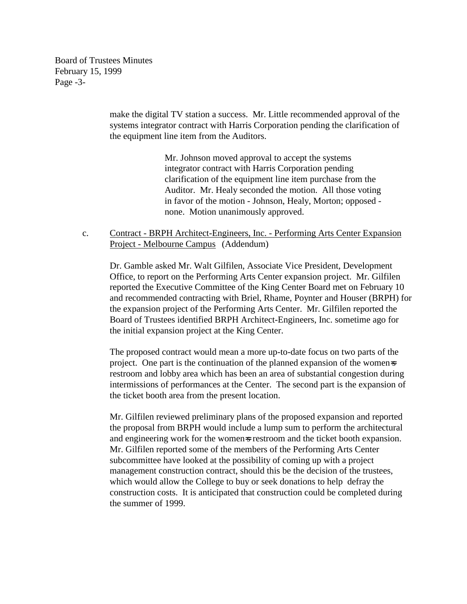Board of Trustees Minutes February 15, 1999 Page -3-

> make the digital TV station a success. Mr. Little recommended approval of the systems integrator contract with Harris Corporation pending the clarification of the equipment line item from the Auditors.

> > Mr. Johnson moved approval to accept the systems integrator contract with Harris Corporation pending clarification of the equipment line item purchase from the Auditor. Mr. Healy seconded the motion. All those voting in favor of the motion - Johnson, Healy, Morton; opposed none. Motion unanimously approved.

## c. Contract - BRPH Architect-Engineers, Inc. - Performing Arts Center Expansion Project - Melbourne Campus (Addendum)

Dr. Gamble asked Mr. Walt Gilfilen, Associate Vice President, Development Office, to report on the Performing Arts Center expansion project. Mr. Gilfilen reported the Executive Committee of the King Center Board met on February 10 and recommended contracting with Briel, Rhame, Poynter and Houser (BRPH) for the expansion project of the Performing Arts Center. Mr. Gilfilen reported the Board of Trustees identified BRPH Architect-Engineers, Inc. sometime ago for the initial expansion project at the King Center.

The proposed contract would mean a more up-to-date focus on two parts of the project. One part is the continuation of the planned expansion of the women=s restroom and lobby area which has been an area of substantial congestion during intermissions of performances at the Center. The second part is the expansion of the ticket booth area from the present location.

Mr. Gilfilen reviewed preliminary plans of the proposed expansion and reported the proposal from BRPH would include a lump sum to perform the architectural and engineering work for the women=s restroom and the ticket booth expansion. Mr. Gilfilen reported some of the members of the Performing Arts Center subcommittee have looked at the possibility of coming up with a project management construction contract, should this be the decision of the trustees, which would allow the College to buy or seek donations to help defray the construction costs. It is anticipated that construction could be completed during the summer of 1999.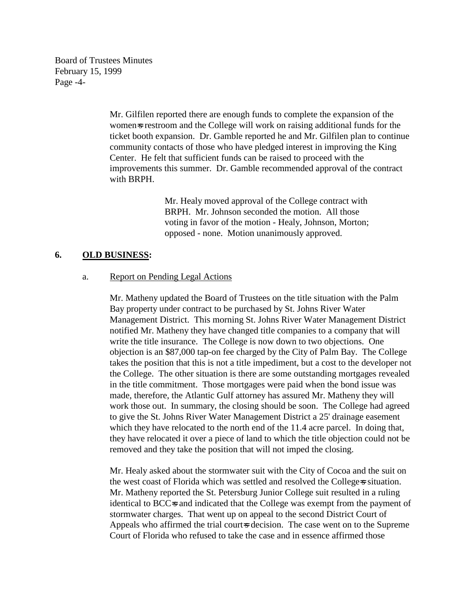Board of Trustees Minutes February 15, 1999 Page -4-

> Mr. Gilfilen reported there are enough funds to complete the expansion of the women=s restroom and the College will work on raising additional funds for the ticket booth expansion. Dr. Gamble reported he and Mr. Gilfilen plan to continue community contacts of those who have pledged interest in improving the King Center. He felt that sufficient funds can be raised to proceed with the improvements this summer. Dr. Gamble recommended approval of the contract with BRPH.

> > Mr. Healy moved approval of the College contract with BRPH. Mr. Johnson seconded the motion. All those voting in favor of the motion - Healy, Johnson, Morton; opposed - none. Motion unanimously approved.

#### **6. OLD BUSINESS:**

#### a. Report on Pending Legal Actions

Mr. Matheny updated the Board of Trustees on the title situation with the Palm Bay property under contract to be purchased by St. Johns River Water Management District. This morning St. Johns River Water Management District notified Mr. Matheny they have changed title companies to a company that will write the title insurance. The College is now down to two objections. One objection is an \$87,000 tap-on fee charged by the City of Palm Bay. The College takes the position that this is not a title impediment, but a cost to the developer not the College. The other situation is there are some outstanding mortgages revealed in the title commitment. Those mortgages were paid when the bond issue was made, therefore, the Atlantic Gulf attorney has assured Mr. Matheny they will work those out. In summary, the closing should be soon. The College had agreed to give the St. Johns River Water Management District a 25' drainage easement which they have relocated to the north end of the 11.4 acre parcel. In doing that, they have relocated it over a piece of land to which the title objection could not be removed and they take the position that will not imped the closing.

Mr. Healy asked about the stormwater suit with the City of Cocoa and the suit on the west coast of Florida which was settled and resolved the College=s situation. Mr. Matheny reported the St. Petersburg Junior College suit resulted in a ruling identical to BCC=s and indicated that the College was exempt from the payment of stormwater charges. That went up on appeal to the second District Court of Appeals who affirmed the trial court-s decision. The case went on to the Supreme Court of Florida who refused to take the case and in essence affirmed those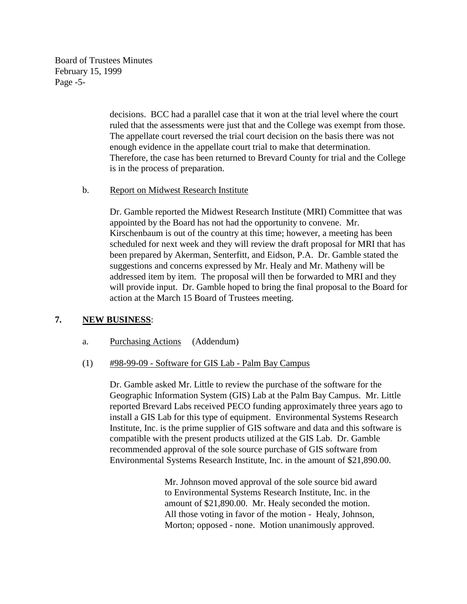Board of Trustees Minutes February 15, 1999 Page -5-

> decisions. BCC had a parallel case that it won at the trial level where the court ruled that the assessments were just that and the College was exempt from those. The appellate court reversed the trial court decision on the basis there was not enough evidence in the appellate court trial to make that determination. Therefore, the case has been returned to Brevard County for trial and the College is in the process of preparation.

b. Report on Midwest Research Institute

Dr. Gamble reported the Midwest Research Institute (MRI) Committee that was appointed by the Board has not had the opportunity to convene. Mr. Kirschenbaum is out of the country at this time; however, a meeting has been scheduled for next week and they will review the draft proposal for MRI that has been prepared by Akerman, Senterfitt, and Eidson, P.A. Dr. Gamble stated the suggestions and concerns expressed by Mr. Healy and Mr. Matheny will be addressed item by item. The proposal will then be forwarded to MRI and they will provide input. Dr. Gamble hoped to bring the final proposal to the Board for action at the March 15 Board of Trustees meeting.

## **7. NEW BUSINESS**:

### a. Purchasing Actions (Addendum)

### (1) #98-99-09 - Software for GIS Lab - Palm Bay Campus

Dr. Gamble asked Mr. Little to review the purchase of the software for the Geographic Information System (GIS) Lab at the Palm Bay Campus. Mr. Little reported Brevard Labs received PECO funding approximately three years ago to install a GIS Lab for this type of equipment. Environmental Systems Research Institute, Inc. is the prime supplier of GIS software and data and this software is compatible with the present products utilized at the GIS Lab. Dr. Gamble recommended approval of the sole source purchase of GIS software from Environmental Systems Research Institute, Inc. in the amount of \$21,890.00.

> Mr. Johnson moved approval of the sole source bid award to Environmental Systems Research Institute, Inc. in the amount of \$21,890.00. Mr. Healy seconded the motion. All those voting in favor of the motion - Healy, Johnson, Morton; opposed - none. Motion unanimously approved.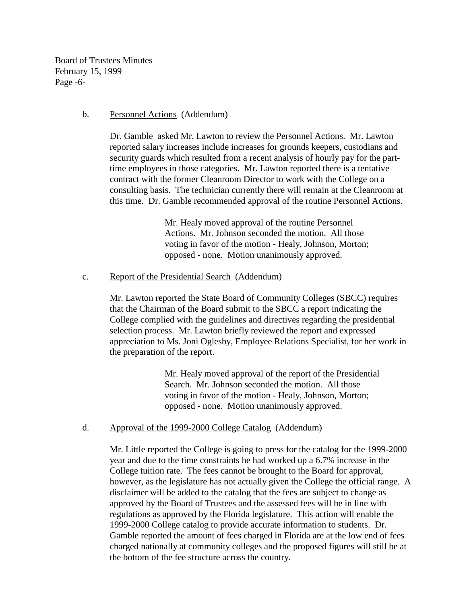Board of Trustees Minutes February 15, 1999 Page -6-

#### b. Personnel Actions (Addendum)

Dr. Gamble asked Mr. Lawton to review the Personnel Actions. Mr. Lawton reported salary increases include increases for grounds keepers, custodians and security guards which resulted from a recent analysis of hourly pay for the parttime employees in those categories. Mr. Lawton reported there is a tentative contract with the former Cleanroom Director to work with the College on a consulting basis. The technician currently there will remain at the Cleanroom at this time. Dr. Gamble recommended approval of the routine Personnel Actions.

> Mr. Healy moved approval of the routine Personnel Actions. Mr. Johnson seconded the motion. All those voting in favor of the motion - Healy, Johnson, Morton; opposed - none. Motion unanimously approved.

#### c. Report of the Presidential Search (Addendum)

Mr. Lawton reported the State Board of Community Colleges (SBCC) requires that the Chairman of the Board submit to the SBCC a report indicating the College complied with the guidelines and directives regarding the presidential selection process. Mr. Lawton briefly reviewed the report and expressed appreciation to Ms. Joni Oglesby, Employee Relations Specialist, for her work in the preparation of the report.

> Mr. Healy moved approval of the report of the Presidential Search. Mr. Johnson seconded the motion. All those voting in favor of the motion - Healy, Johnson, Morton; opposed - none. Motion unanimously approved.

d. Approval of the 1999-2000 College Catalog (Addendum)

Mr. Little reported the College is going to press for the catalog for the 1999-2000 year and due to the time constraints he had worked up a 6.7% increase in the College tuition rate. The fees cannot be brought to the Board for approval, however, as the legislature has not actually given the College the official range. A disclaimer will be added to the catalog that the fees are subject to change as approved by the Board of Trustees and the assessed fees will be in line with regulations as approved by the Florida legislature. This action will enable the 1999-2000 College catalog to provide accurate information to students. Dr. Gamble reported the amount of fees charged in Florida are at the low end of fees charged nationally at community colleges and the proposed figures will still be at the bottom of the fee structure across the country.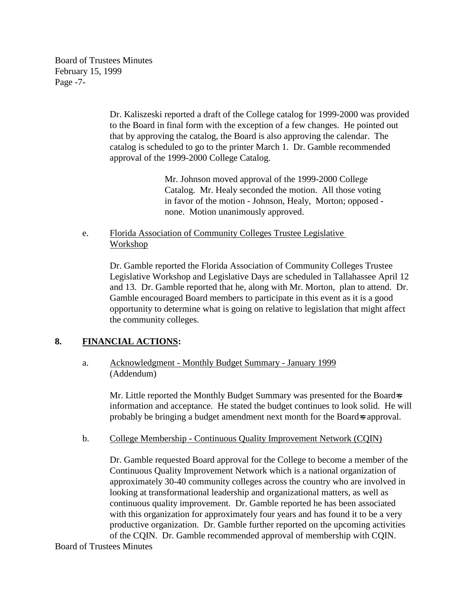Board of Trustees Minutes February 15, 1999 Page -7-

> Dr. Kaliszeski reported a draft of the College catalog for 1999-2000 was provided to the Board in final form with the exception of a few changes. He pointed out that by approving the catalog, the Board is also approving the calendar. The catalog is scheduled to go to the printer March 1. Dr. Gamble recommended approval of the 1999-2000 College Catalog.

> > Mr. Johnson moved approval of the 1999-2000 College Catalog. Mr. Healy seconded the motion. All those voting in favor of the motion - Johnson, Healy, Morton; opposed none. Motion unanimously approved.

## e. Florida Association of Community Colleges Trustee Legislative Workshop

Dr. Gamble reported the Florida Association of Community Colleges Trustee Legislative Workshop and Legislative Days are scheduled in Tallahassee April 12 and 13. Dr. Gamble reported that he, along with Mr. Morton, plan to attend. Dr. Gamble encouraged Board members to participate in this event as it is a good opportunity to determine what is going on relative to legislation that might affect the community colleges.

## **8. FINANCIAL ACTIONS:**

# a. Acknowledgment - Monthly Budget Summary - January 1999 (Addendum)

Mr. Little reported the Monthly Budget Summary was presented for the Board-s information and acceptance. He stated the budget continues to look solid. He will probably be bringing a budget amendment next month for the Board=s approval.

## b. College Membership - Continuous Quality Improvement Network (CQIN)

Dr. Gamble requested Board approval for the College to become a member of the Continuous Quality Improvement Network which is a national organization of approximately 30-40 community colleges across the country who are involved in looking at transformational leadership and organizational matters, as well as continuous quality improvement. Dr. Gamble reported he has been associated with this organization for approximately four years and has found it to be a very productive organization. Dr. Gamble further reported on the upcoming activities of the CQIN. Dr. Gamble recommended approval of membership with CQIN.

## Board of Trustees Minutes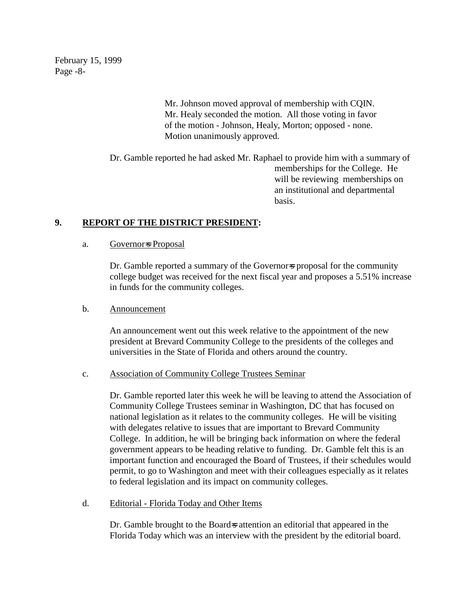February 15, 1999 Page -8-

> Mr. Johnson moved approval of membership with CQIN. Mr. Healy seconded the motion. All those voting in favor of the motion - Johnson, Healy, Morton; opposed - none. Motion unanimously approved.

Dr. Gamble reported he had asked Mr. Raphael to provide him with a summary of memberships for the College. He will be reviewing memberships on an institutional and departmental basis.

## **9. REPORT OF THE DISTRICT PRESIDENT:**

#### a. Governor-s Proposal

Dr. Gamble reported a summary of the Governor-s proposal for the community college budget was received for the next fiscal year and proposes a 5.51% increase in funds for the community colleges.

### b. Announcement

An announcement went out this week relative to the appointment of the new president at Brevard Community College to the presidents of the colleges and universities in the State of Florida and others around the country.

### c. Association of Community College Trustees Seminar

Dr. Gamble reported later this week he will be leaving to attend the Association of Community College Trustees seminar in Washington, DC that has focused on national legislation as it relates to the community colleges. He will be visiting with delegates relative to issues that are important to Brevard Community College. In addition, he will be bringing back information on where the federal government appears to be heading relative to funding. Dr. Gamble felt this is an important function and encouraged the Board of Trustees, if their schedules would permit, to go to Washington and meet with their colleagues especially as it relates to federal legislation and its impact on community colleges.

## d. Editorial - Florida Today and Other Items

Dr. Gamble brought to the Board-s attention an editorial that appeared in the Florida Today which was an interview with the president by the editorial board.